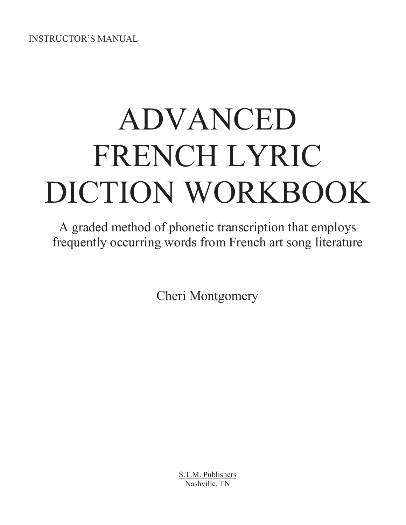INSTRUCTOR'S MANUAL

# ADVANCED FRENCH LYRIC DICTION WORKBOOK

A graded method of phonetic transcription that employs frequently occurring words from French art song literature

Cheri Montgomery

S.T.M. Publishers Nashville, TN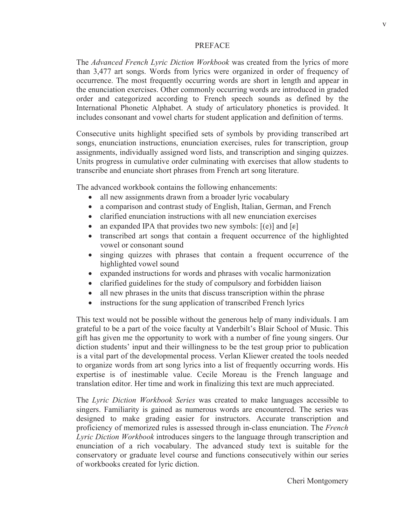#### PREFACE

The *Advanced French Lyric Diction Workbook* was created from the lyrics of more than 3,477 art songs. Words from lyrics were organized in order of frequency of occurrence. The most frequently occurring words are short in length and appear in the enunciation exercises. Other commonly occurring words are introduced in graded order and categorized according to French speech sounds as defined by the International Phonetic Alphabet. A study of articulatory phonetics is provided. It includes consonant and vowel charts for student application and definition of terms.

Consecutive units highlight specified sets of symbols by providing transcribed art songs, enunciation instructions, enunciation exercises, rules for transcription, group assignments, individually assigned word lists, and transcription and singing quizzes. Units progress in cumulative order culminating with exercises that allow students to transcribe and enunciate short phrases from French art song literature.

The advanced workbook contains the following enhancements:

- all new assignments drawn from a broader lyric vocabulary
- a comparison and contrast study of English, Italian, German, and French
- clarified enunciation instructions with all new enunciation exercises
- an expanded IPA that provides two new symbols:  $[(e)]$  and  $[e]$
- x transcribed art songs that contain a frequent occurrence of the highlighted vowel or consonant sound
- singing quizzes with phrases that contain a frequent occurrence of the highlighted vowel sound
- x expanded instructions for words and phrases with vocalic harmonization
- clarified guidelines for the study of compulsory and forbidden liaison
- all new phrases in the units that discuss transcription within the phrase
- instructions for the sung application of transcribed French lyrics

This text would not be possible without the generous help of many individuals. I am grateful to be a part of the voice faculty at Vanderbilt's Blair School of Music. This gift has given me the opportunity to work with a number of fine young singers. Our diction students' input and their willingness to be the test group prior to publication is a vital part of the developmental process. Verlan Kliewer created the tools needed to organize words from art song lyrics into a list of frequently occurring words. His expertise is of inestimable value. Cecile Moreau is the French language and translation editor. Her time and work in finalizing this text are much appreciated.

The *Lyric Diction Workbook Series* was created to make languages accessible to singers. Familiarity is gained as numerous words are encountered. The series was designed to make grading easier for instructors. Accurate transcription and proficiency of memorized rules is assessed through in-class enunciation. The *French Lyric Diction Workbook* introduces singers to the language through transcription and enunciation of a rich vocabulary. The advanced study text is suitable for the conservatory or graduate level course and functions consecutively within our series of workbooks created for lyric diction.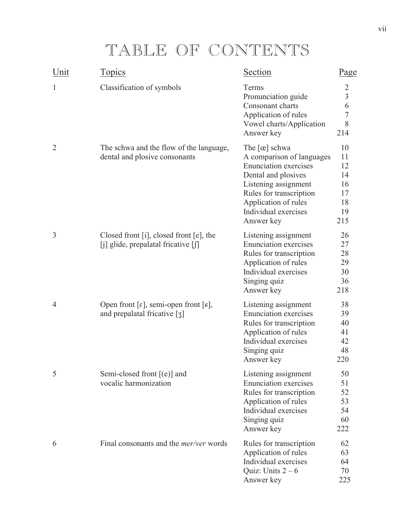## TABLE OF CONTENTS

| Unit           | <b>Topics</b>                                                                                                  | Section                                                                                                                                                                                                                   | Page                                                |
|----------------|----------------------------------------------------------------------------------------------------------------|---------------------------------------------------------------------------------------------------------------------------------------------------------------------------------------------------------------------------|-----------------------------------------------------|
| 1              | Classification of symbols                                                                                      | Terms<br>Pronunciation guide<br>Consonant charts<br>Application of rules<br>Vowel charts/Application<br>Answer key                                                                                                        | $\frac{2}{3}$<br>6<br>$\overline{7}$<br>8<br>214    |
| $\overline{2}$ | The schwa and the flow of the language,<br>dental and plosive consonants                                       | The $[\alpha]$ schwa<br>A comparison of languages<br><b>Enunciation exercises</b><br>Dental and plosives<br>Listening assignment<br>Rules for transcription<br>Application of rules<br>Individual exercises<br>Answer key | 10<br>11<br>12<br>14<br>16<br>17<br>18<br>19<br>215 |
| 3              | Closed front [i], closed front $[e]$ , the<br>[j] glide, prepalatal fricative [f]                              | Listening assignment<br><b>Enunciation</b> exercises<br>Rules for transcription<br>Application of rules<br>Individual exercises<br>Singing quiz<br>Answer key                                                             | 26<br>27<br>28<br>29<br>30<br>36<br>218             |
| $\overline{4}$ | Open front [ $\varepsilon$ ], semi-open front [ $\varepsilon$ ],<br>and prepalatal fricative $\lceil 3 \rceil$ | Listening assignment<br><b>Enunciation</b> exercises<br>Rules for transcription<br>Application of rules<br>Individual exercises<br>Singing quiz<br>Answer key                                                             | 38<br>39<br>40<br>41<br>42<br>48<br>220             |
| 5              | Semi-closed front $[(e)]$ and<br>vocalic harmonization                                                         | Listening assignment<br><b>Enunciation</b> exercises<br>Rules for transcription<br>Application of rules<br>Individual exercises<br>Singing quiz<br>Answer key                                                             | 50<br>51<br>52<br>53<br>54<br>60<br>222             |
| 6              | Final consonants and the <i>mer/ver</i> words                                                                  | Rules for transcription<br>Application of rules<br>Individual exercises<br>Quiz: Units $2-6$<br>Answer key                                                                                                                | 62<br>63<br>64<br>70<br>225                         |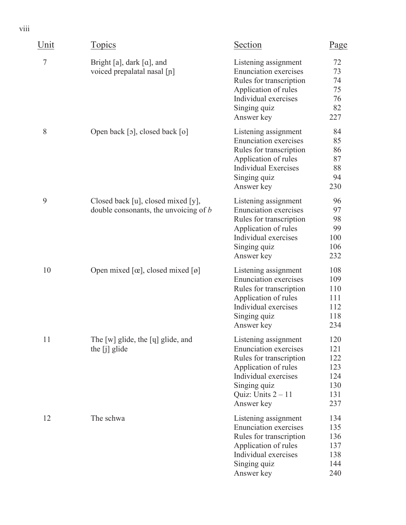| Unit           | Topics                                                                        | Section                                                                                                                                                                               | Page                                                 |
|----------------|-------------------------------------------------------------------------------|---------------------------------------------------------------------------------------------------------------------------------------------------------------------------------------|------------------------------------------------------|
| $\overline{7}$ | Bright [a], dark [a], and<br>voiced prepalatal nasal [n]                      | Listening assignment<br><b>Enunciation exercises</b><br>Rules for transcription<br>Application of rules<br>Individual exercises<br>Singing quiz<br>Answer key                         | 72<br>73<br>74<br>75<br>76<br>82<br>227              |
| 8              | Open back [o], closed back [o]                                                | Listening assignment<br><b>Enunciation</b> exercises<br>Rules for transcription<br>Application of rules<br><b>Individual Exercises</b><br>Singing quiz<br>Answer key                  | 84<br>85<br>86<br>87<br>88<br>94<br>230              |
| 9              | Closed back [u], closed mixed [y],<br>double consonants, the unvoicing of $b$ | Listening assignment<br><b>Enunciation</b> exercises<br>Rules for transcription<br>Application of rules<br>Individual exercises<br>Singing quiz<br>Answer key                         | 96<br>97<br>98<br>99<br>100<br>106<br>232            |
| 10             | Open mixed $[\alpha]$ , closed mixed $[\emptyset]$                            | Listening assignment<br><b>Enunciation</b> exercises<br>Rules for transcription<br>Application of rules<br>Individual exercises<br>Singing quiz<br>Answer key                         | 108<br>109<br>110<br>111<br>112<br>118<br>234        |
| 11             | The [w] glide, the [ų] glide, and<br>the $[j]$ glide                          | Listening assignment<br><b>Enunciation</b> exercises<br>Rules for transcription<br>Application of rules<br>Individual exercises<br>Singing quiz<br>Quiz: Units $2 - 11$<br>Answer key | 120<br>121<br>122<br>123<br>124<br>130<br>131<br>237 |
| 12             | The schwa                                                                     | Listening assignment<br><b>Enunciation</b> exercises<br>Rules for transcription<br>Application of rules<br>Individual exercises<br>Singing quiz<br>Answer key                         | 134<br>135<br>136<br>137<br>138<br>144<br>240        |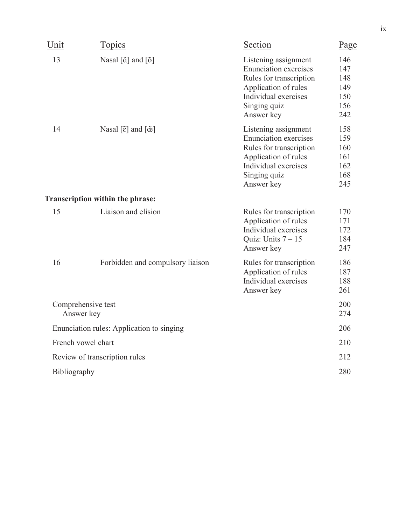| Unit         | <b>Topics</b>                                     | Section                                                                                                                                                       | Page                                          |
|--------------|---------------------------------------------------|---------------------------------------------------------------------------------------------------------------------------------------------------------------|-----------------------------------------------|
| 13           | Nasal $[\tilde{a}]$ and $[\tilde{o}]$             | Listening assignment<br><b>Enunciation</b> exercises<br>Rules for transcription<br>Application of rules<br>Individual exercises<br>Singing quiz<br>Answer key | 146<br>147<br>148<br>149<br>150<br>156<br>242 |
| 14           | Nasal $[\tilde{\epsilon}]$ and $[\tilde{\alpha}]$ | Listening assignment<br><b>Enunciation</b> exercises<br>Rules for transcription<br>Application of rules<br>Individual exercises<br>Singing quiz<br>Answer key | 158<br>159<br>160<br>161<br>162<br>168<br>245 |
|              | Transcription within the phrase:                  |                                                                                                                                                               |                                               |
| 15           | Liaison and elision                               | Rules for transcription<br>Application of rules<br>Individual exercises<br>Quiz: Units $7 - 15$<br>Answer key                                                 | 170<br>171<br>172<br>184<br>247               |
| 16           | Forbidden and compulsory liaison                  | Rules for transcription<br>Application of rules<br>Individual exercises<br>Answer key                                                                         | 186<br>187<br>188<br>261                      |
|              | Comprehensive test<br>Answer key                  |                                                                                                                                                               | 200<br>274                                    |
|              | Enunciation rules: Application to singing         |                                                                                                                                                               | 206                                           |
|              | French vowel chart                                |                                                                                                                                                               | 210                                           |
|              | Review of transcription rules                     |                                                                                                                                                               | 212                                           |
| Bibliography |                                                   |                                                                                                                                                               | 280                                           |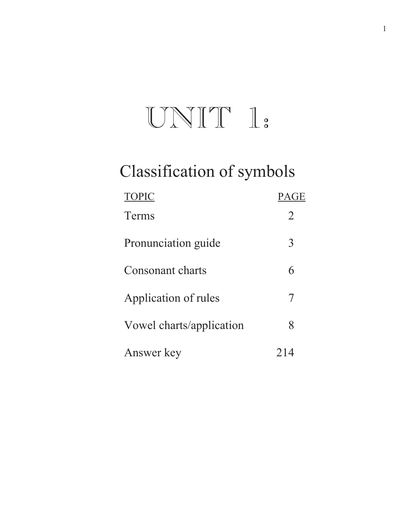## $UNIT I:$

## Classification of symbols

| <b>TOPIC</b>             | <b>PAGE</b> |
|--------------------------|-------------|
| <b>Terms</b>             | 2           |
| Pronunciation guide      | 3           |
| Consonant charts         | 6           |
| Application of rules     | 7           |
| Vowel charts/application | 8           |
| Answer key               |             |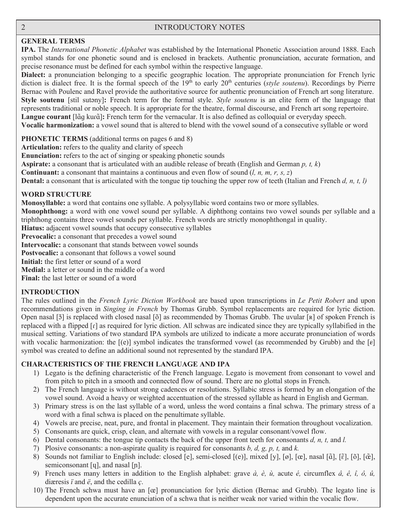#### **GENERAL TERMS**

**IPA.** The *International Phonetic Alphabet* was established by the International Phonetic Association around 1888. Each symbol stands for one phonetic sound and is enclosed in brackets. Authentic pronunciation, accurate formation, and precise resonance must be defined for each symbol within the respective language.

**Dialect:** a pronunciation belonging to a specific geographic location. The appropriate pronunciation for French lyric diction is dialect free. It is the formal speech of the 19<sup>th</sup> to early 20<sup>th</sup> centuries (*style soutenu*). Recordings by Pierre Bernac with Poulenc and Ravel provide the authoritative source for authentic pronunciation of French art song literature. **Style soutenu** [stil sutany]: French term for the formal style. *Style soutenu* is an elite form of the language that represents traditional or noble speech. It is appropriate for the theatre, formal discourse, and French art song repertoire. Langue courant [lãg kurã]: French term for the vernacular. It is also defined as colloquial or everyday speech. **Vocalic harmonization:** a vowel sound that is altered to blend with the vowel sound of a consecutive syllable or word

**PHONETIC TERMS** (additional terms on pages 6 and 8)

**Articulation:** refers to the quality and clarity of speech

**Enunciation:** refers to the act of singing or speaking phonetic sounds

**Aspirate:** a consonant that is articulated with an audible release of breath (English and German *p, t, k*)

**Continuant:** a consonant that maintains a continuous and even flow of sound (*l, n, m, r, s, z*)

**Dental:** a consonant that is articulated with the tongue tip touching the upper row of teeth (Italian and French *d, n, t, l)* 

#### **WORD STRUCTURE**

**Monosyllable:** a word that contains one syllable. A polysyllabic word contains two or more syllables.

**Monophthong:** a word with one vowel sound per syllable. A diphthong contains two vowel sounds per syllable and a triphthong contains three vowel sounds per syllable. French words are strictly monophthongal in quality.

**Hiatus:** adjacent vowel sounds that occupy consecutive syllables

Prevocalic: a consonant that precedes a vowel sound

**Intervocalic:** a consonant that stands between vowel sounds

**Postvocalic:** a consonant that follows a vowel sound

**Initial:** the first letter or sound of a word

**Medial:** a letter or sound in the middle of a word

**Final:** the last letter or sound of a word

#### **INTRODUCTION**

The rules outlined in the *French Lyric Diction Workbook* are based upon transcriptions in *Le Petit Robert* and upon recommendations given in *Singing in French* by Thomas Grubb. Symbol replacements are required for lyric diction. Open nasal [õ] is replaced with closed nasal [õ] as recommended by Thomas Grubb. The uvular [R] of spoken French is replaced with a flipped  $\lceil \cdot \rceil$  as required for lyric diction. All schwas are indicated since they are typically syllabified in the musical setting. Variations of two standard IPA symbols are utilized to indicate a more accurate pronunciation of words with vocalic harmonization: the  $[(e)]$  symbol indicates the transformed vowel (as recommended by Grubb) and the  $[e]$ symbol was created to define an additional sound not represented by the standard IPA.

#### **CHARACTERISTICS OF THE FRENCH LANGUAGE AND IPA**

- 1) Legato is the defining characteristic of the French language. Legato is movement from consonant to vowel and from pitch to pitch in a smooth and connected flow of sound. There are no glottal stops in French.
- 2) The French language is without strong cadences or resolutions. Syllabic stress is formed by an elongation of the vowel sound. Avoid a heavy or weighted accentuation of the stressed syllable as heard in English and German.
- 3) Primary stress is on the last syllable of a word, unless the word contains a final schwa. The primary stress of a word with a final schwa is placed on the penultimate syllable.
- 4) Vowels are precise, neat, pure, and frontal in placement. They maintain their formation throughout vocalization.
- 5) Consonants are quick, crisp, clean, and alternate with vowels in a regular consonant/vowel flow.
- 6) Dental consonants: the tongue tip contacts the back of the upper front teeth for consonants *d, n, t,* and *l.*
- 7) Plosive consonants: a non-aspirate quality is required for consonants *b, d, g, p, t,* and *k.*
- 8) Sounds not familiar to English include: closed [e], semi-closed [(e)], mixed [y], [ø], [œ], nasal [ɑ̃], [ɛ̃], [õ], [œ̃], semiconsonant [ $\eta$ ], and nasal [ $\eta$ ].
- 9) French uses many letters in addition to the English alphabet: grave *à, è, ù,* acute *é,* circumflex *â, ê, î, ô, û,* diæresis *ï* and *ë*, and the cedilla *ç*.
- 10) The French schwa must have an [œ] pronunciation for lyric diction (Bernac and Grubb). The legato line is dependent upon the accurate enunciation of a schwa that is neither weak nor varied within the vocalic flow.

ī  $\frac{2}{\sqrt{2}}$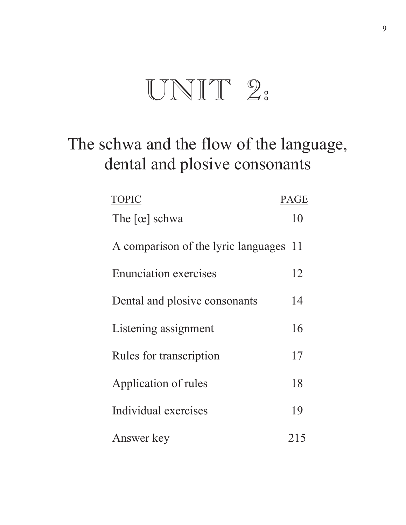## $UNIT 2:$

## The schwa and the flow of the language, dental and plosive consonants

| <b>TOPIC</b>                        | <b>PAGE</b> |
|-------------------------------------|-------------|
| The $[\alpha]$ schwa                | 10          |
| A comparison of the lyric languages | 11          |
| <b>Enunciation exercises</b>        | 12          |
| Dental and plosive consonants       | 14          |
| Listening assignment                | 16          |
| Rules for transcription             | 17          |
| Application of rules                | 18          |
| Individual exercises                | 19          |
| Answer key                          | 215         |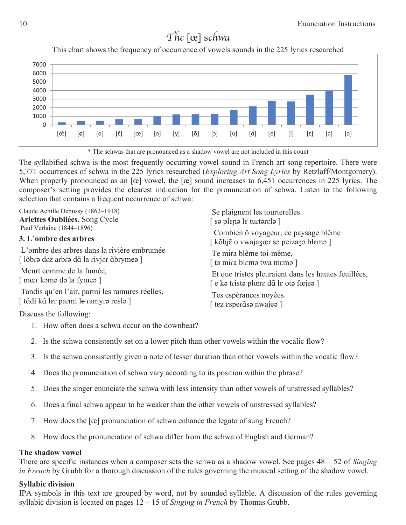### The [œ] schwa

This chart shows the frequency of occurrence of vowels sounds in the 225 lyrics researched





The syllabified schwa is the most frequently occurring vowel sound in French art song repertoire. There were 5,771 occurrences of schwa in the 225 lyrics researched (*Exploring Art Song Lyrics* by Retzlaff/Montgomery). When properly pronounced as an  $[\alpha]$  vowel, the  $[\alpha]$  sound increases to 6,451 occurrences in 225 lyrics. The composer's setting provides the clearest indication for the pronunciation of schwa. Listen to the following selection that contains a frequent occurrence of schwa:

| Claude Achille Debussy (1862-1918)             | Se plaignent les tourterelles.                       |
|------------------------------------------------|------------------------------------------------------|
| Ariettes Oubliées, Song Cycle                  | [ sə plɛɲə le turtərɛlə ]                            |
| Paul Verlaine (1844–1896)                      | Combien ô voyageur, ce paysage blême                 |
| 3. L'ombre des arbres                          | [ kõbjẽ o vwajazœr sə peizazə blemə ]                |
| L'ombre des arbres dans la rivière embrumée    | Te mira blême toi-même,                              |
| [lõbrə dez arbrə dã la rivjer ãbrymeə]         | [ tə mira blɛmə twa mɛmə ]                           |
| Meurt comme de la fumée,                       | Et que tristes pleuraient dans les hautes feuillées, |
| [ mœr komə də la fymeə ]                       | [e kə tristə plœre dã le otə fœjeə ]                 |
| Tandis qu'en l'air, parmi les ramures réelles, | Tes espérances noyées.                               |
| [ tãdi kã ler parmi le ramyro reelo ]          | tez esperãso nwajeo ]                                |
|                                                |                                                      |

Discuss the following:

- 1. How often does a schwa occur on the downbeat?
- 2. Is the schwa consistently set on a lower pitch than other vowels within the vocalic flow?
- 3. Is the schwa consistently given a note of lesser duration than other vowels within the vocalic flow?
- 4. Does the pronunciation of schwa vary according to its position within the phrase?
- 5. Does the singer enunciate the schwa with less intensity than other vowels of unstressed syllables?
- 6. Does a final schwa appear to be weaker than the other vowels of unstressed syllables?
- 7. How does the [œ] pronunciation of schwa enhance the legato of sung French?
- 8. How does the pronunciation of schwa differ from the schwa of English and German?

#### **The shadow vowel**

There are specific instances when a composer sets the schwa as a shadow vowel. See pages 48 – 52 of *Singing in French* by Grubb for a thorough discussion of the rules governing the musical setting of the shadow vowel.

#### **Syllabic division**

IPA symbols in this text are grouped by word, not by sounded syllable. A discussion of the rules governing syllabic division is located on pages 12 – 15 of *Singing in French* by Thomas Grubb.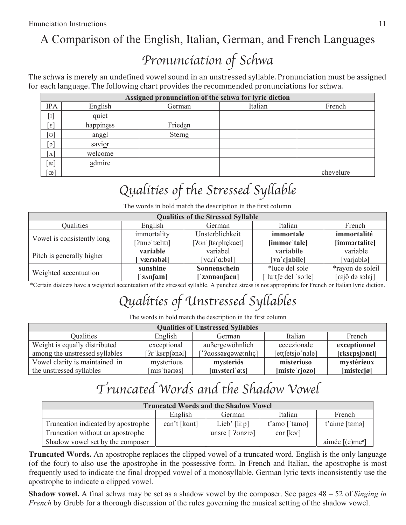### A Comparison of the English, Italian, German, and French Languages

## Pronunciation of Schwa

The schwa is merely an undefined vowel sound in an unstressed syllable. Pronunciation must be assigned for each language. The following chart provides the recommended pronunciations for schwa.

|                             |           | Assigned pronunciation of the schwa for lyric diction |         |           |
|-----------------------------|-----------|-------------------------------------------------------|---------|-----------|
| <b>IPA</b>                  | English   | German                                                | Italian | French    |
| $\lceil 1 \rceil$           | quiet     |                                                       |         |           |
| $\lceil \varepsilon \rceil$ | happiness | Frieden                                               |         |           |
| ്ഗ]                         | angel     | Sterne                                                |         |           |
| $\lceil 3 \rceil$           | savior    |                                                       |         |           |
| $\Lambda$                   | welcome   |                                                       |         |           |
| $\lbrack x \rbrack$         | admire    |                                                       |         |           |
| $\alpha$                    |           |                                                       |         | chevelure |

## Qualities of the Stressed Syllable

The words in bold match the description in the first column

|                            |                   | <b>Qualities of the Stressed Syllable</b> |                    |                  |
|----------------------------|-------------------|-------------------------------------------|--------------------|------------------|
| <b>Oualities</b>           | English           | German                                    | Italian            | French           |
| Vowel is consistently long | immortality       | Unsterblichkeit                           | immortale          | immortalité      |
|                            | [?imo'tæliti]     | Pon [terplickaet]                         | [immor 'tale]      | [immortalite]    |
|                            | variable          | variabel                                  | variabile          | variable         |
| Pitch is generally higher  | kdensx            | [variˈaːbəl]                              | [va rjabile]       | [varjablə]       |
|                            | sunshine          | Sonnenschein                              | *luce del sole     | *rayon de soleil |
| Weighted accentuation      | $s\Lambda n$ [am] | ['zonnənfaen]                             | lu:tse del 'so:le] | [ralca do solaj] |

\*Certain dialects have a weighted accentuation of the stressed syllable. A punched stress is not appropriate for French or Italian lyric diction.

## Qualities of Unstressed Syllables

The words in bold match the description in the first column

|                                |                                                   | <b>Qualities of Unstressed Syllables</b>        |                  |                |
|--------------------------------|---------------------------------------------------|-------------------------------------------------|------------------|----------------|
| Oualities                      | English                                           | German                                          | Italian          | French         |
| Weight is equally distributed  | exceptional                                       | außergewöhnlich                                 | eccezionale      | exceptionnel   |
| among the unstressed syllables | $[? \varepsilon$ 'ks $\varepsilon$ p $[$ ənəl $]$ | [' $2$ aossa $\gamma$ gawø:nlɪç]                | [ett[etsjo nale] | [eksespsjonel] |
| Vowel clarity is maintained in | mysterious                                        | mysteriös                                       | misterioso       | mystérieux     |
| the unstressed syllables       | [mis'tiorios]                                     | $[mvsteri' \boldsymbol{\theta}:\boldsymbol{s}]$ | [miste rjozo]    | [misterjø]     |

## Truncated Words and the Shadow Vowel

|                                    |              | <b>Truncated Words and the Shadow Vowel</b> |               |                                |
|------------------------------------|--------------|---------------------------------------------|---------------|--------------------------------|
|                                    | English      | German                                      | Italian       | French                         |
| Truncation indicated by apostrophe | can't [kɑnt] | Lieb' $\lceil \text{li:} p \rceil$          | t'amo ['tamo] | t'aime [tɛmə]                  |
| Truncation without an apostrophe   |              | unsre ['?onzrə]                             | cor [kɔɾ]     |                                |
| Shadow vowel set by the composer   |              |                                             |               | aimée $[(e)$ me <sup>[o]</sup> |

**Truncated Words.** An apostrophe replaces the clipped vowel of a truncated word. English is the only language (of the four) to also use the apostrophe in the possessive form. In French and Italian, the apostrophe is most frequently used to indicate the final dropped vowel of a monosyllable. German lyric texts inconsistently use the apostrophe to indicate a clipped vowel.

**Shadow vowel.** A final schwa may be set as a shadow vowel by the composer. See pages 48 – 52 of *Singing in French* by Grubb for a thorough discussion of the rules governing the musical setting of the shadow vowel.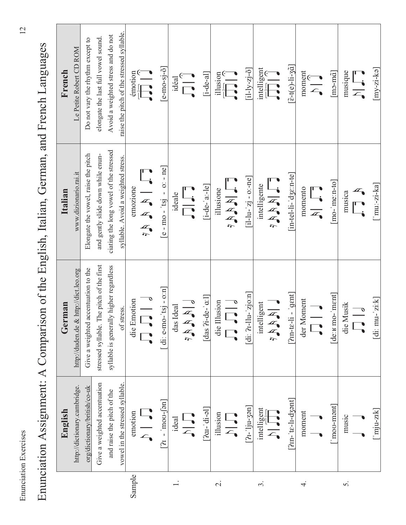|   |             | <b>STATE</b><br>l        |
|---|-------------|--------------------------|
|   |             |                          |
|   |             |                          |
|   |             |                          |
|   |             |                          |
|   |             |                          |
|   |             |                          |
|   |             |                          |
|   |             |                          |
|   |             |                          |
|   |             |                          |
|   |             |                          |
|   |             |                          |
|   |             |                          |
|   |             |                          |
|   |             |                          |
|   |             |                          |
|   |             |                          |
|   |             |                          |
|   |             |                          |
|   |             |                          |
|   |             |                          |
|   |             |                          |
|   |             |                          |
|   |             |                          |
|   |             |                          |
|   |             |                          |
|   |             |                          |
|   |             |                          |
|   |             |                          |
|   |             |                          |
|   |             |                          |
|   |             |                          |
|   |             |                          |
|   |             |                          |
|   |             |                          |
|   |             |                          |
|   |             |                          |
|   |             |                          |
|   |             |                          |
|   |             |                          |
|   |             |                          |
|   |             |                          |
|   |             |                          |
|   |             |                          |
|   |             |                          |
|   |             |                          |
|   |             |                          |
|   |             |                          |
|   | くてきくき       |                          |
|   | ļ           | <br> <br> <br> <br> <br> |
| J |             |                          |
|   | ב<br>י      |                          |
|   |             |                          |
|   | .<br>?<br>? |                          |
|   |             |                          |
|   |             |                          |

Enunciation Assignment: A Comparison of the English, Italian, German, and French Languages Enunciation Assignment: A Comparison of the English, Italian, German, and French Languages

|                          | English                                                    | German                                    | Italian                                                                                                                                                                                                                                                                                                                                                                                                                                                                                                                                                                                                                                                                       | French                                                                                                                                                                                                                                                                                                                                                      |
|--------------------------|------------------------------------------------------------|-------------------------------------------|-------------------------------------------------------------------------------------------------------------------------------------------------------------------------------------------------------------------------------------------------------------------------------------------------------------------------------------------------------------------------------------------------------------------------------------------------------------------------------------------------------------------------------------------------------------------------------------------------------------------------------------------------------------------------------|-------------------------------------------------------------------------------------------------------------------------------------------------------------------------------------------------------------------------------------------------------------------------------------------------------------------------------------------------------------|
|                          | http://dictionary.cambridge.                               | http://duden.de & http://dict.leo.org     | www.dizionario.rai.it                                                                                                                                                                                                                                                                                                                                                                                                                                                                                                                                                                                                                                                         | Le Petite Robert CD ROM                                                                                                                                                                                                                                                                                                                                     |
|                          | org/dictionary/british/co-uk                               | Give a weighted accentuation to the       | Elongate the vowel, raise the pitch                                                                                                                                                                                                                                                                                                                                                                                                                                                                                                                                                                                                                                           | Do not vary the rhythm except to                                                                                                                                                                                                                                                                                                                            |
|                          | Give a weighted accentuation                               | stressed syllable. The pitch of the first | and gently slide down while enun-                                                                                                                                                                                                                                                                                                                                                                                                                                                                                                                                                                                                                                             | elongate the last full vowel sound.                                                                                                                                                                                                                                                                                                                         |
|                          | and raise the pitch of the                                 | syllable is generally higher regardless   | ciating the long vowel of the stressed                                                                                                                                                                                                                                                                                                                                                                                                                                                                                                                                                                                                                                        | Avoid a weighted stress and do not                                                                                                                                                                                                                                                                                                                          |
|                          | vowel in the stressed syllable.                            | of stress.                                | syllable. Avoid a weighted stress.                                                                                                                                                                                                                                                                                                                                                                                                                                                                                                                                                                                                                                            | raise the pitch of the stressed syllable.                                                                                                                                                                                                                                                                                                                   |
| Sample                   | emotion                                                    | die Emotion                               | emozione                                                                                                                                                                                                                                                                                                                                                                                                                                                                                                                                                                                                                                                                      |                                                                                                                                                                                                                                                                                                                                                             |
|                          | 「、<br>一、                                                   | $\frac{1}{\sqrt{2}}$                      | $\begin{bmatrix} 1 & 1 & 1 \\ 1 & 1 & 1 \\ 1 & 1 & 1 \\ 1 & 1 & 1 \\ 1 & 1 & 1 \\ 1 & 1 & 1 \\ 1 & 1 & 1 \\ 1 & 1 & 1 \\ 1 & 1 & 1 \\ 1 & 1 & 1 \\ 1 & 1 & 1 \\ 1 & 1 & 1 \\ 1 & 1 & 1 \\ 1 & 1 & 1 \\ 1 & 1 & 1 \\ 1 & 1 & 1 \\ 1 & 1 & 1 \\ 1 & 1 & 1 \\ 1 & 1 & 1 & 1 \\ 1 & 1 & 1 & 1 \\ 1 & 1 & 1 & 1 \\ 1 & 1 & 1 & 1 & 1 \\ $                                                                                                                                                                                                                                                                                                                                          | $\begin{tabular}{c} 11.55cm \hline 1.00cm \hline 1.00cm \hline 1.00cm \hline 1.00cm \hline 1.00cm \hline 1.00cm \hline 1.00cm \hline 1.00cm \hline 1.00cm \hline 1.00cm \hline 1.00cm \hline 1.00cm \hline 1.00cm \hline 1.00cm \hline 1.00cm \hline 1.00cm \hline 1.00cm \hline 1.00cm \hline 1.00cm \hline 1.00cm \hline 1.00cm \hline 1.00cm \hline 1.0$ |
|                          | $[n - 1 \mod -1]$                                          | [di: e-mo-'tsj - o:n]                     | $[e - m0 - 'ts] - 0: - ne]$                                                                                                                                                                                                                                                                                                                                                                                                                                                                                                                                                                                                                                                   | $[e-mo-sj-\n0]$                                                                                                                                                                                                                                                                                                                                             |
|                          | ideal                                                      | das Ideal                                 | ideale                                                                                                                                                                                                                                                                                                                                                                                                                                                                                                                                                                                                                                                                        | idéal                                                                                                                                                                                                                                                                                                                                                       |
|                          | L'<br>云                                                    | $\frac{1}{2}$                             | $\prod_{i=1}^n$                                                                                                                                                                                                                                                                                                                                                                                                                                                                                                                                                                                                                                                               | $\begin{array}{c} \circ \\ \hline \\ \hline \end{array}$                                                                                                                                                                                                                                                                                                    |
|                          | $[2aI - id -ol]$                                           | [das $2i-de-a:1$ ]                        | $[i-de-'a:Je]$                                                                                                                                                                                                                                                                                                                                                                                                                                                                                                                                                                                                                                                                | $[i-de-a]$                                                                                                                                                                                                                                                                                                                                                  |
| $\overline{\mathcal{C}}$ | illusion                                                   | die Illusion                              | illusione                                                                                                                                                                                                                                                                                                                                                                                                                                                                                                                                                                                                                                                                     |                                                                                                                                                                                                                                                                                                                                                             |
|                          | $\frac{\Box}{\triangle}$                                   | $\frac{1}{\sqrt{2}}$                      | $\Gamma$ is $Z_2$                                                                                                                                                                                                                                                                                                                                                                                                                                                                                                                                                                                                                                                             | $\begin{picture}(120,15) \put(0,0){\line(1,0){155}} \put(15,0){\line(1,0){155}} \put(15,0){\line(1,0){155}} \put(15,0){\line(1,0){155}} \put(15,0){\line(1,0){155}} \put(15,0){\line(1,0){155}} \put(15,0){\line(1,0){155}} \put(15,0){\line(1,0){155}} \put(15,0){\line(1,0){155}} \put(15,0){\line(1,0){155}} \put(15,0){\line(1,0){155}}$                |
|                          | $[2i-1ju-3m]$                                              | [di: 21-llu- $z$ jo:n]                    | [il-lu-'zj - o:-ne]                                                                                                                                                                                                                                                                                                                                                                                                                                                                                                                                                                                                                                                           | $[i1 - 1y - zj - \delta]$                                                                                                                                                                                                                                                                                                                                   |
| $\dot{\varsigma}$        | intellingent                                               | intelligent                               | intelligente                                                                                                                                                                                                                                                                                                                                                                                                                                                                                                                                                                                                                                                                  |                                                                                                                                                                                                                                                                                                                                                             |
|                          | <b>High</b>                                                | 一三年八                                      | $\begin{array}{c}\n\blacksquare\quad \blacksquare\quad \blacksquare\quad \blacksquare\quad \blacksquare\quad \blacksquare\quad \blacksquare\quad \blacksquare\quad \blacksquare\quad \blacksquare\quad \blacksquare\quad \blacksquare\quad \blacksquare\quad \blacksquare\quad \blacksquare\quad \blacksquare\quad \blacksquare\quad \blacksquare\quad \blacksquare\quad \blacksquare\quad \blacksquare\quad \blacksquare\quad \blacksquare\quad \blacksquare\quad \blacksquare\quad \blacksquare\quad \blacksquare\quad \blacksquare\quad \blacksquare\quad \blacksquare\quad \blacksquare\quad \blacksquare\quad \blacksquare\quad \blacksquare\quad \blacksquare\quad \bl$ | $\begin{tabular}{c} \hline \text{incl} \\ \hline \text{rel} \\ \hline \text{rel} \\ \end{tabular}$                                                                                                                                                                                                                                                          |
|                          | $[2m$ -'te-l1-d3ənt $]$                                    | $[2m-te-li - 'gent]$                      | $[in-tel-li-dze:n-te]$                                                                                                                                                                                                                                                                                                                                                                                                                                                                                                                                                                                                                                                        | $[\tilde{\epsilon}$ -t(e)-li-3 $\tilde{a}]$                                                                                                                                                                                                                                                                                                                 |
| 4.                       | moment                                                     | der Moment                                |                                                                                                                                                                                                                                                                                                                                                                                                                                                                                                                                                                                                                                                                               |                                                                                                                                                                                                                                                                                                                                                             |
|                          |                                                            |                                           | momento<br>A J                                                                                                                                                                                                                                                                                                                                                                                                                                                                                                                                                                                                                                                                | $\begin{picture}(120,15) \put(0,0){\line(1,0){155}} \put(15,0){\line(1,0){155}} \put(15,0){\line(1,0){155}} \put(15,0){\line(1,0){155}} \put(15,0){\line(1,0){155}} \put(15,0){\line(1,0){155}} \put(15,0){\line(1,0){155}} \put(15,0){\line(1,0){155}} \put(15,0){\line(1,0){155}} \put(15,0){\line(1,0){155}} \put(15,0){\line(1,0){155}}$                |
|                          | $\lceil$ mov-mant                                          | $[dexB$ mo- $'m$                          | $[\text{mo}$ -' $\text{me}$ :n-to]                                                                                                                                                                                                                                                                                                                                                                                                                                                                                                                                                                                                                                            | $[\text{ma-m\~a}]$                                                                                                                                                                                                                                                                                                                                          |
| S.                       | music                                                      | die Musik                                 | musica                                                                                                                                                                                                                                                                                                                                                                                                                                                                                                                                                                                                                                                                        | musique                                                                                                                                                                                                                                                                                                                                                     |
|                          |                                                            | $\frac{1}{\sqrt{2}}$                      | $\frac{1}{\sqrt{2}}$                                                                                                                                                                                                                                                                                                                                                                                                                                                                                                                                                                                                                                                          | $\begin{array}{c} \hline \blacksquare, \\ \hline \end{array}$                                                                                                                                                                                                                                                                                               |
|                          | $\lceil \mathop{\mathrm{m}}\nolimits\rceil$ u-zık $\lceil$ | [di: $mu$ -'zi:k]                         | $\lfloor$ 'mu:-zi-ka]                                                                                                                                                                                                                                                                                                                                                                                                                                                                                                                                                                                                                                                         | $[my-zi-ka]$                                                                                                                                                                                                                                                                                                                                                |

 $\overline{12}$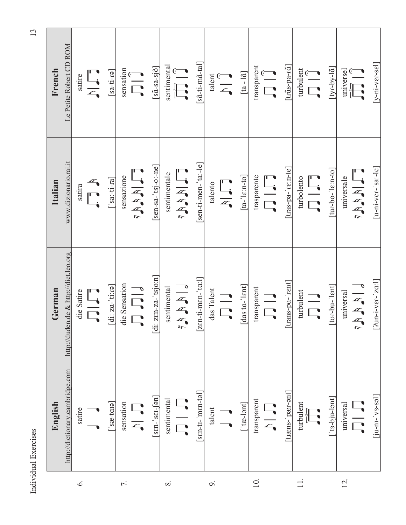|                | English                           | German                                | Italian                                                             | French                                                                                                                                                                                                                                                                                                                                                                                                                                                                    |
|----------------|-----------------------------------|---------------------------------------|---------------------------------------------------------------------|---------------------------------------------------------------------------------------------------------------------------------------------------------------------------------------------------------------------------------------------------------------------------------------------------------------------------------------------------------------------------------------------------------------------------------------------------------------------------|
|                | http://dictionary.cambridge.com   | http://duden.de & http://dict.leo.org | www.dizionario.rai.it                                               | Le Petite Robert CD ROM                                                                                                                                                                                                                                                                                                                                                                                                                                                   |
| $\dot{\circ}$  | satire                            | die Satire                            | satira                                                              | satire                                                                                                                                                                                                                                                                                                                                                                                                                                                                    |
|                |                                   | <b>IE</b>                             | $\mathbb{Z}$                                                        | $\frac{\Gamma}{\Gamma_{\bullet}}$                                                                                                                                                                                                                                                                                                                                                                                                                                         |
|                | $[\text{enc}$                     | di: za-'tiːɾə]                        | $[\text{sa}\text{-}\text{ti}\text{-}\text{ra}]$                     | $[\text{e}$ 1-ti-ra                                                                                                                                                                                                                                                                                                                                                                                                                                                       |
| 7.             | sensation                         | die Sensation                         | sensazione                                                          | sensation                                                                                                                                                                                                                                                                                                                                                                                                                                                                 |
|                | 「ここ                               | $\frac{1}{\sqrt{2}}$                  | $\prod_{\alpha}$                                                    | $\begin{array}{c} \overline{ } \\ \overline{ } \\ \overline{ } \end{array}$                                                                                                                                                                                                                                                                                                                                                                                               |
|                | $[sen-ser-5]$                     | [di: zɛn-za-'tsjoːn]                  | $[sensa-tsj-o:ne]$                                                  | $\left[ \tilde{\text{sq}} - \text{sq}} - \tilde{\text{g}} \right]$                                                                                                                                                                                                                                                                                                                                                                                                        |
| $\infty$       | sentimental                       | sentimental                           | sentimentale                                                        |                                                                                                                                                                                                                                                                                                                                                                                                                                                                           |
|                |                                   | $\frac{1}{\sqrt{2}}$                  | $\prod_{\substack{x \\ \sim \\ \sim}}$                              | $\begin{tabular}{ c c } \hline \text{sentimental} \\ \hline \hline \text{r}^3 \\ \hline \text{r}^2 \\ \hline \end{tabular} \begin{tabular}{ c c } \hline \text{1}}{\hline \text{1}} \\ \hline \end{tabular}$                                                                                                                                                                                                                                                              |
|                | $[\text{sen-tt-'men-tol}]$        | $[zen-ti-men^{-1}ta:1]$               | sen-ti-men-'ta:-le]                                                 | $[s\tilde{a}-ti-m\tilde{a}-tal]$                                                                                                                                                                                                                                                                                                                                                                                                                                          |
| Ò.             | $t$ alent                         | das Talent                            | talento                                                             |                                                                                                                                                                                                                                                                                                                                                                                                                                                                           |
|                |                                   | $\frac{1}{\sqrt{2}}$                  | $\Gamma_{i}$                                                        | $\begin{picture}(120,15) \put(0,0){\line(1,0){155}} \put(15,0){\line(1,0){155}} \put(15,0){\line(1,0){155}} \put(15,0){\line(1,0){155}} \put(15,0){\line(1,0){155}} \put(15,0){\line(1,0){155}} \put(15,0){\line(1,0){155}} \put(15,0){\line(1,0){155}} \put(15,0){\line(1,0){155}} \put(15,0){\line(1,0){155}} \put(15,0){\line(1,0){155}}$                                                                                                                              |
|                | $[$ tæ-lənt $]$                   | das to-'lent]                         | $\lceil \text{ta} \cdot \text{'} \text{lc} \cdot \text{nto} \rceil$ | $[ta - l\tilde{a}]$                                                                                                                                                                                                                                                                                                                                                                                                                                                       |
| $\subseteq$    | transparent                       | transparent                           | trasparente                                                         |                                                                                                                                                                                                                                                                                                                                                                                                                                                                           |
|                | <b>「、</b><br>つ                    | $\frac{1}{\sqrt{2}}$                  | $\frac{\Gamma}{\Gamma}$                                             | $\begin{array}{c} \text{transparent} \\ \hline \text{ } \\ \text{ } \\ \text{ } \\ \end{array}$                                                                                                                                                                                                                                                                                                                                                                           |
|                | [træns-'pær-ənt]                  | rans-pa-'rent]                        | [tras-pa-'re:n-te]                                                  | $[\mathrm{tr\tilde{a}s\text{-}pa\text{-}\tilde{a}}]$                                                                                                                                                                                                                                                                                                                                                                                                                      |
|                | turbulent                         | turbulent                             | turbolento                                                          | turbulent                                                                                                                                                                                                                                                                                                                                                                                                                                                                 |
|                |                                   | $\frac{1}{\sqrt{2}}$                  | $\Box$                                                              |                                                                                                                                                                                                                                                                                                                                                                                                                                                                           |
|                | [ˈtɜ-bju-lənt]                    | tor-bu-'lent]                         | [tur-bo-'lɛːn-to]                                                   | [tyɾ-by-lɑ̃]                                                                                                                                                                                                                                                                                                                                                                                                                                                              |
| $\overline{C}$ | universal                         | universal                             | universale                                                          |                                                                                                                                                                                                                                                                                                                                                                                                                                                                           |
|                | $\overline{\Box}$                 | $\sqrt{\frac{1}{4}}$                  | $\Box$                                                              | $\begin{array}{c} \text{universal} \\ \hline \text{miverset} \\ \hline \text{mif } \text{mif } \text{mif } \text{mif } \text{mif } \text{mif } \text{mif } \text{mif } \text{mif } \text{mif } \text{mif } \text{mif } \text{mif } \text{mif } \text{mif } \text{mif } \text{mif } \text{mif } \text{mif } \text{mif } \text{mif } \text{mif } \text{mif } \text{mif } \text{mif } \text{mif } \text{mif } \text{mif } \text{mif } \text{mif } \text{mif } \text{mif } \$ |
|                | $\left[\text{ju-ni-vs-so}\right]$ | $[2$ un-i-v $\epsilon$ r-'za: $1$     | $[u-ni-vec - s a:-le]$                                              | $[y-ni-v\varepsilon r-s\varepsilon]$                                                                                                                                                                                                                                                                                                                                                                                                                                      |

 $13$ 

Individual Exercises 13 Individual Exercises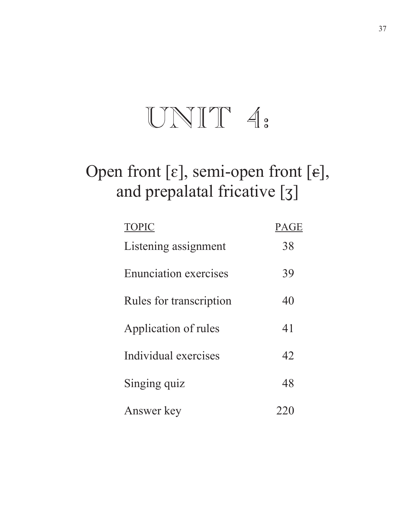## $UNIT 4.$

## Open front [ $\varepsilon$ ], semi-open front [ $\varepsilon$ ], and prepalatal fricative [3]

| <b>TOPIC</b>                 | <b>PAGE</b> |
|------------------------------|-------------|
| Listening assignment         | 38          |
| <b>Enunciation exercises</b> | 39          |
| Rules for transcription      | 40          |
| Application of rules         | 41          |
| Individual exercises         | 42          |
| Singing quiz                 | 48          |
| Answer key                   |             |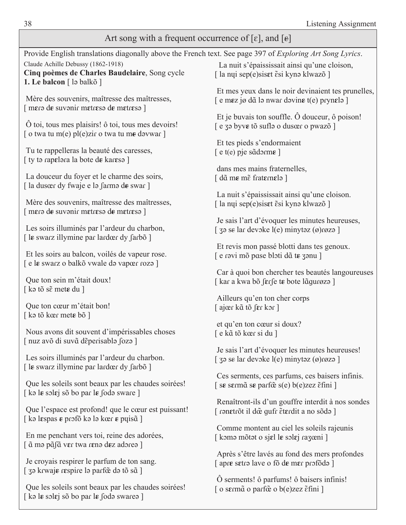| Art song with a frequent occurrence of $[\varepsilon]$ , and $[\varepsilon]$                                                   |                                                                                                                      |  |  |
|--------------------------------------------------------------------------------------------------------------------------------|----------------------------------------------------------------------------------------------------------------------|--|--|
| Provide English translations diagonally above the French text. See page 397 of <i>Exploring Art Song Lyrics</i> .              |                                                                                                                      |  |  |
| Claude Achille Debussy (1862-1918)<br>Cinq poèmes de Charles Baudelaire, Song cycle<br>1. Le balcon $\lceil$ lə balkõ $\rceil$ | La nuit s'épaississait ainsi qu'une cloison,<br>[la nyi sep(e) siset $\tilde{\epsilon}$ si kynə klwazõ]              |  |  |
| Mère des souvenirs, maîtresse des maîtresses,                                                                                  | Et mes yeux dans le noir devinaient tes prunelles,                                                                   |  |  |
| $\lceil$ mero de suvonir metreso de metreso $\lceil$                                                                           | $\lceil e \text{ m} \epsilon z \rceil$ jø då la nwar davin $\epsilon$ t(e) pryn $\epsilon$ la $\lceil$               |  |  |
| O toi, tous mes plaisirs! ô toi, tous mes devoirs!                                                                             | Et je buvais ton souffle. $\hat{O}$ douceur, $\hat{o}$ poison!                                                       |  |  |
| [ o twa tu m(e) $pl(e)$ zir o twa tu me davwar ]                                                                               | e za byve tõ sufla o dusœr o pwazõ ]                                                                                 |  |  |
| Tu te rappelleras la beauté des caresses,                                                                                      | Et tes pieds s'endormaient                                                                                           |  |  |
| [ ty to rapelora la bote de kareso ]                                                                                           | $\lceil e t(e)$ pje sãdorm $\epsilon \rceil$                                                                         |  |  |
| La douceur du foyer et le charme des soirs,                                                                                    | dans mes mains fraternelles,                                                                                         |  |  |
| [la dusœr dy fwaje e lə farmə de swar]                                                                                         | $[$ d $\tilde{a}$ me m $\tilde{e}$ fraternele $]$                                                                    |  |  |
| Mère des souvenirs, maîtresse des maîtresses,                                                                                  | La nuit s'épaississait ainsi qu'une cloison.                                                                         |  |  |
| $\lceil$ mero de suvonir metreso de metreso $\lceil$                                                                           | [la nyi sep(e) siset $\tilde{\epsilon}$ si kynə klwazõ]                                                              |  |  |
| Les soirs illuminés par l'ardeur du charbon,                                                                                   | Je sais l'art d'évoquer les minutes heureuses,                                                                       |  |  |
| [le swarz illymine par lardœr dy farbõ]                                                                                        | $\left[$ 39 se lar devoke l(e) minytaz $\left( \emptyset \right)$ røza $\left[$                                      |  |  |
| Et les soirs au balcon, voilés de vapeur rose.                                                                                 | Et revis mon passé blotti dans tes genoux.                                                                           |  |  |
| [e le swarz o balkõ vwale do vapœr rozo]                                                                                       | [e ravi mõ pase bloti dã te zanu ]                                                                                   |  |  |
| Que ton sein m'était doux!                                                                                                     | Car à quoi bon chercher tes beautés langoureuses                                                                     |  |  |
| [k a tõ s $\tilde{\epsilon}$ met $\epsilon$ du ]                                                                               | [ kar a kwa bõ ferfe te bote lãgurøzə ]                                                                              |  |  |
| Que ton cœur m'était bon!                                                                                                      | Ailleurs qu'en ton cher corps                                                                                        |  |  |
| $\lceil$ kə tõ kœr mete bõ $\rceil$                                                                                            | ajær kã tõ fer kor                                                                                                   |  |  |
| Nous avons dit souvent d'impérissables choses                                                                                  | et qu'en ton cœur si doux?                                                                                           |  |  |
| [ nuz avõ di suvã deperisabla foza ]                                                                                           | [e kã tõ kœr si du ]                                                                                                 |  |  |
| Les soirs illuminés par l'ardeur du charbon.                                                                                   | Je sais l'art d'évoquer les minutes heureuses!                                                                       |  |  |
| [le swarz illymine par lardœr dy farbõ]                                                                                        | $\left[$ 39 se lar devoke l(e) minytaz (ø)røza $\left[$                                                              |  |  |
| Que les soleils sont beaux par les chaudes soirées!                                                                            | Ces serments, ces parfums, ces baisers infinis.                                                                      |  |  |
| [ka le solej sõ bo par le foda sware]                                                                                          | $\left[ \text{ se sem\~{a} se par\~{o} se} \right]$ se parf $\mathbf{\~{e} se}$ s(e) b(e)zez $\tilde{\text{e}}$ fini |  |  |
| Que l'espace est profond! que le cœur est puissant!                                                                            | Renaîtront-ils d'un gouffre interdit à nos sondes                                                                    |  |  |
| [ kə lɛspas $\epsilon$ prɔfõ kə lə kœr $\epsilon$ puis $\tilde{a}$ ]                                                           | [ ranetrõt il dœ gufr ẽterdit a no sõda ]                                                                            |  |  |
| En me penchant vers toi, reine des adorées,                                                                                    | Comme montent au ciel les soleils rajeunis                                                                           |  |  |
| [ ã mə pãfã vɛr twa rɛnə dez adəreə ]                                                                                          | [ komə mõtət o sjɛl le solɛj raʒœni ]                                                                                |  |  |
| Je croyais respirer le parfum de ton sang.                                                                                     | Après s'être lavés au fond des mers profondes                                                                        |  |  |
| [ 30 krwaje respire lo parfœ̃ do tõ sã]                                                                                        | [ apr <del>e</del> setrə lave o fõ d <del>e</del> mer profõdə ]                                                      |  |  |
| Que les soleils sont beaux par les chaudes soirées!                                                                            | O serments! ô parfums! ô baisers infinis!<br>o sermã o parfõe o b(e)zez etini ]                                      |  |  |

[ kǝ l**ɛ** solɛj sõ bo par l**ɛ** solo swareǝ ]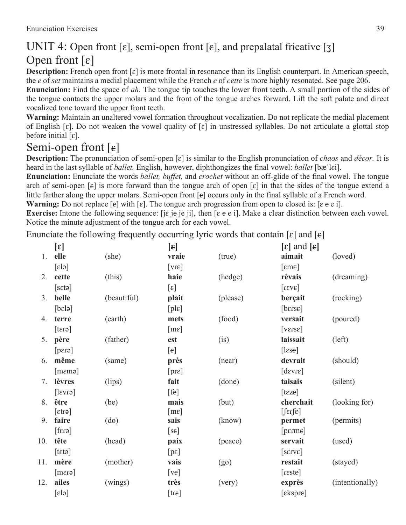### UNIT 4: Open front [ $\varepsilon$ ], semi-open front [ $\varepsilon$ ], and prepalatal fricative [ $\zeta$ ] Open front  $[\epsilon]$

**Description:** French open front [ɛ] is more frontal in resonance than its English counterpart. In American speech, the *e* of *set* maintains a medial placement while the French *e* of *cette* is more highly resonated. See page 206.

**Enunciation:** Find the space of *ah.* The tongue tip touches the lower front teeth. A small portion of the sides of the tongue contacts the upper molars and the front of the tongue arches forward. Lift the soft palate and direct vocalized tone toward the upper front teeth.

**Warning:** Maintain an unaltered vowel formation throughout vocalization. Do not replicate the medial placement of English [ $\varepsilon$ ]. Do not weaken the vowel quality of [ $\varepsilon$ ] in unstressed syllables. Do not articulate a glottal stop before initial  $[\varepsilon]$ .

### Semi-open front  $[\epsilon]$

**Description:** The pronunciation of semi-open [ $\epsilon$ ] is similar to the English pronunciation of *chaos* and *décor*. It is heard in the last syllable of *ballet*. English, however, diphthongizes the final vowel: *ballet* [bæ'lei].

**Enunciation:** Enunciate the words *ballet, buffet,* and *crochet* without an off-glide of the final vowel. The tongue arch of semi-open [ $\varepsilon$ ] is more forward than the tongue arch of open [ $\varepsilon$ ] in that the sides of the tongue extend a little farther along the upper molars. Semi-open front  $[\epsilon]$  occurs only in the final syllable of a French word.

**Warning:** Do not replace  $[\epsilon]$  with  $[\epsilon]$ . The tongue arch progression from open to closed is:  $[\epsilon \epsilon \epsilon \epsilon]$ .

**Exercise:** Intone the following sequence: [jɛ je je ji], then  $[\varepsilon \varepsilon e]$ ]. Make a clear distinction between each vowel. Notice the minute adjustment of the tongue arch for each vowel.

Enunciate the following frequently occurring lyric words that contain  $[\epsilon]$  and  $[\epsilon]$ 

|     | $[\epsilon]$                |             | $[\epsilon]$      |          | $\lbrack \varepsilon \rbrack$ and $\lbrack \varepsilon \rbrack$ |                 |
|-----|-----------------------------|-------------|-------------------|----------|-----------------------------------------------------------------|-----------------|
| 1.  | elle                        | (she)       | vraie             | (true)   | aimait                                                          | (loved)         |
|     | $\lceil \varepsilon \rceil$ |             | $[vr\varepsilon]$ |          | [eme]                                                           |                 |
| 2.  | cette                       | (this)      | haie              | (hedge)  | rêvais                                                          | (dreaming)      |
|     | [set]                       |             | $[\epsilon]$      |          | [373]                                                           |                 |
| 3.  | belle                       | (beautiful) | plait             | (please) | berçait                                                         | (rocking)       |
|     | [belə]                      |             | [ple]             |          | [berse]                                                         |                 |
| 4.  | terre                       | (earth)     | mets              | (food)   | versait                                                         | (poured)        |
|     | $[\text{erg}]$              |             | [me]              |          | [verse]                                                         |                 |
| 5.  | père                        | (father)    | est               | (i)      | laissait                                                        | (left)          |
|     | [erg]                       |             | $[\epsilon]$      |          | [lese]                                                          |                 |
| 6.  | même                        | (same)      | près              | (near)   | devrait                                                         | (should)        |
|     | $[$ m $\epsilon$ mə $]$     |             | [pre]             |          | [degree]                                                        |                 |
| 7.  | lèvres                      | (lips)      | fait              | (done)   | taisais                                                         | (silent)        |
|     | $[\text{ev}$ sl]            |             | [fe]              |          | [text                                                           |                 |
| 8.  | être                        | (be)        | mais              | (but)    | cherchait                                                       | (looking for)   |
|     | $[\text{er}$                |             | [me]              |          | $[\text{ferf}$                                                  |                 |
| 9.  | faire                       | (do)        | sais              | (know)   | permet                                                          | (permits)       |
|     | $[\text{frag}]$             |             | [se]              |          | $[perm\epsilon]$                                                |                 |
| 10. | tête                        | (head)      | paix              | (peace)  | servait                                                         | (used)          |
|     | [teta]                      |             | $[p\epsilon]$     |          | [serve]                                                         |                 |
| 11. | mère                        | (mother)    | vais              | (go)     | restait                                                         | (stayed)        |
|     | $[$ ena $]$                 |             | $[v\epsilon]$     |          | [reste]                                                         |                 |
| 12. | ailes                       | (wings)     | très              | (very)   | exprès                                                          | (intentionally) |
|     | $\lceil \varepsilon \rceil$ |             | $[{\rm tr}$       |          | [ensure]                                                        |                 |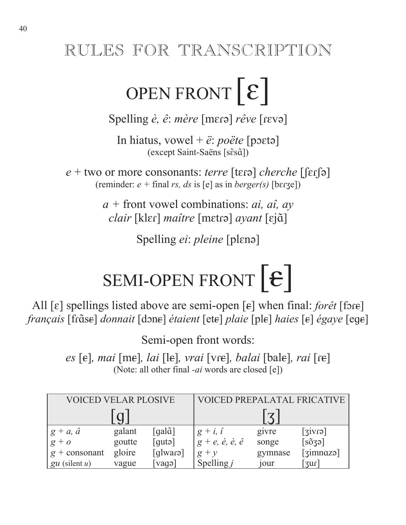## RULES FOR TRANSCRIPTION

# OPEN FRONT  $\lceil \mathcal{E} \rceil$

Spelling *è*, *ê*: *mère* [mɛrə] *rêve* [rɛvə]

In hiatus, vowel +  $\ddot{e}$ : *poëte* [poetə] (except Saint-Saëns [sɛ̃sɑ̃])

 $e +$  two or more consonants: *terre* [tɛɾə] *cherche* [[ɛɾ͡ʃə] (reminder:  $e + \text{final} rs$ , *ds* is [e] as in *berger(s)* [berge])

> *a +* front vowel combinations: *ai, aî, ay*  $\emph{clair}$  [klɛɾ] *maître* [mɛtɾə] *ayant* [ɛjɑ̃]

> > Spelling *ei*: *pleine* [plɛnə]

# SEMI-OPEN FRONT  $|\epsilon|$

All  $[\varepsilon]$  spellings listed above are semi-open  $[\varepsilon]$  when final: *forêt* [fore]  $\emph{français}$  [fr $\emph{\~d}$ s $\emph{\~d}$ *donnait* [dɔne] *étaient* [ete] *plaie* [ple] *haies* [e] *égaye* [ege]

Semi-open front words:

*es* [ $\epsilon$ ], *mai* [m $\epsilon$ ], *lai* [l $\epsilon$ ], *vrai* [v $\epsilon$ ], *balai* [bal $\epsilon$ ], *rai* [ $\epsilon$ ] (Note: all other final *-ai* words are closed [e])

| VOICED VELAR PLOSIVE |        |                                          | <b>VOICED PREPALATAL FRICATIVE</b>     |                         |                                |
|----------------------|--------|------------------------------------------|----------------------------------------|-------------------------|--------------------------------|
|                      |        |                                          |                                        | $\overline{\mathbf{z}}$ |                                |
| $g + a, \hat{a}$     | galant | $\lceil \text{gal}\tilde{\alpha} \rceil$ | $g + i, i$                             | givre                   | [sivr]                         |
| $g + o$              | goutte | $\lceil \text{gutə} \rceil$              | $g+e, \acute{e}, \grave{e}, \acute{e}$ | songe                   | $[s\tilde{o}3a]$               |
| $g$ + consonant      | gloire | [glwara]                                 | $g + y$                                | gymnase                 | [ <i>simn</i> azə]             |
| $gu$ (silent u)      | vague  | $\lceil \text{vago} \rceil$              | Spelling $j$                           | 10ur                    | $\lceil \mathfrak{zuf} \rceil$ |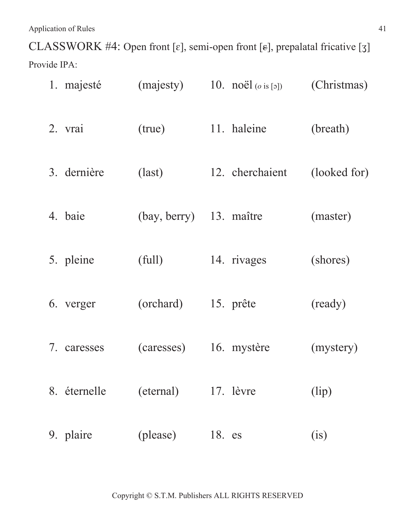CLASSWORK #4: Open front [ $\varepsilon$ ], semi-open front [ $\varepsilon$ ], prepalatal fricative [ $\zeta$ ] Provide IPA:

| 1. majesté   | (majesty)       | 10. $\text{noël}\,(o \text{ is } [5])$ | (Christmas)  |
|--------------|-----------------|----------------------------------------|--------------|
| 2. vrai      | (true)          | 11. haleine                            | (breath)     |
| 3. dernière  | $\text{(last)}$ | 12. cherchaient                        | (looked for) |
| 4. baie      | (bay, berry)    | 13. maître                             | (master)     |
| 5. pleine    | (full)          | 14. rivages                            | (shores)     |
| 6. verger    | (orchard)       | 15. prête                              | (ready)      |
| 7. caresses  | (caresses)      | 16. mystère                            | (mystery)    |
| 8. éternelle | (eternal)       | 17. lèvre                              | (lip)        |
| 9. plaire    | (please)        | 18. es                                 | (i)          |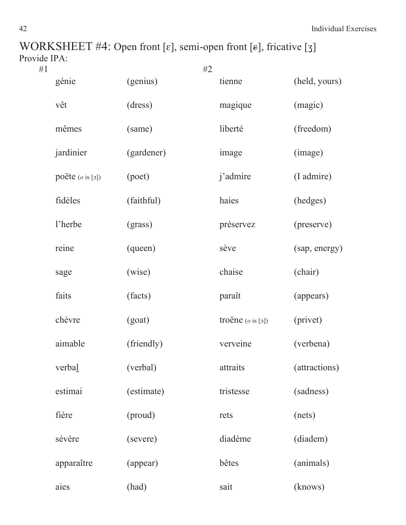WORKSHEET #4: Open front [ $\varepsilon$ ], semi-open front [ $\varepsilon$ ], fricative [ $\zeta$ ] Provide IPA:<br>#1

| #1 |                             |            | #2 |                              |               |
|----|-----------------------------|------------|----|------------------------------|---------------|
|    | génie                       | (genius)   |    | tienne                       | (held, yours) |
|    | vêt                         | (dress)    |    | magique                      | (magic)       |
|    | mêmes                       | (same)     |    | liberté                      | (freedom)     |
|    | jardinier                   | (gardener) |    | image                        | (image)       |
|    | poëte $(o \text{ is } [5])$ | (poet)     |    | j'admire                     | (I admire)    |
|    | fidèles                     | (faithful) |    | haies                        | (hedges)      |
|    | l'herbe                     | (grass)    |    | préservez                    | (preserve)    |
|    | reine                       | (queen)    |    | sève                         | (sap, energy) |
|    | sage                        | (wise)     |    | chaise                       | (chair)       |
|    | faits                       | (facts)    |    | paraît                       | (appears)     |
|    | chèvre                      | (goat)     |    | troëne $(o \text{ is } [5])$ | (privet)      |
|    | aimable                     | (friendly) |    | verveine                     | (verbena)     |
|    | verbal                      | (verbal)   |    | attraits                     | (attractions) |
|    | estimai                     | (estimate) |    | tristesse                    | (sadness)     |
|    | fière                       | (proud)    |    | rets                         | (nets)        |
|    | sévère                      | (severe)   |    | diadème                      | (diadem)      |
|    | apparaître                  | (appear)   |    | bêtes                        | (animals)     |
|    | aies                        | (had)      |    | sait                         | (knows)       |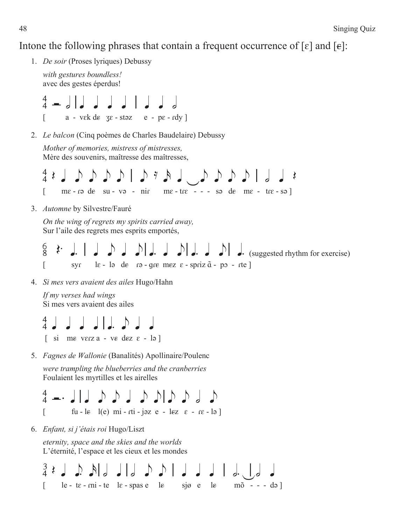### Intone the following phrases that contain a frequent occurrence of [ $\varepsilon$ ] and [ $\varepsilon$ ]:

1. *De soir* (Proses lyriques) Debussy

```
with gestures boundless! 
avec des gestes éperdus!
```
 $\frac{4}{4}$   $\sqrt{$   $\sqrt{2}}$   $\sqrt{}$   $\sqrt{}$   $\sqrt{}$   $\sqrt{}$   $\sqrt{}$  $\begin{bmatrix} a - v \in k \, d \in \mathbb{Z} & \text{if } z - v \in k \end{bmatrix}$ 

2. *Le balcon* (Cinq poèmes de Charles Baudelaire) Debussy

```
Mother of memories, mistress of mistresses, 
Mère des souvenirs, maîtresse des maîtresses,
```

```
1 \cup 2 \cup 3 d 1 \cup 3\lceil me - r a de su - v a - nir me - tre - - - s a de me - tre - s a \lceil
```
3. *Automne* by Silvestre/Fauré

*On the wing of regrets my spirits carried away,*  Sur l'aile des regrets mes esprits emportés,

 $\begin{array}{ccc} \frac{6}{8} & \frac{1}{8} & \frac{1}{8} & \frac{1}{8} & \frac{1}{8} & \frac{1}{8} & \frac{1}{8} & \frac{1}{8} & \frac{1}{8} & \frac{1}{8} & \frac{1}{8} & \frac{1}{8} & \frac{1}{8} & \frac{1}{8} & \frac{1}{8} & \frac{1}{8} & \frac{1}{8} & \frac{1}{8} & \frac{1}{8} & \frac{1}{8} & \frac{1}{8} & \frac{1}{8} & \frac{1}{8} & \frac{1}{8} & \frac{1}{8} & \frac{1}{8} & \frac{1}{$  $[s - s\gamma s]$  is - la de ra-gre mez  $\varepsilon$ -spriz $\tilde{a}$ -po-rte]

4. *Si mes vers avaient des ailes* Hugo/Hahn

*If my verses had wings* Si mes vers avaient des ailes

 $\begin{array}{c} 4 \end{array}$  d d d l e  $\begin{array}{c} \circ \\ \circ \end{array}$  $\begin{bmatrix} \sin m\epsilon & \text{verc}\alpha - \nu\epsilon & d\epsilon z & \epsilon - \nu\end{bmatrix}$ 

5. *Fagnes de Wallonie* (Banalités) Apollinaire/Poulenc

*were trampling the blueberries and the cranberries* Foulaient les myrtilles et les airelles



6. *Enfant, si j'étais roi* Hugo/Liszt

*eternity, space and the skies and the worlds* L'éternité, l'espace et les cieux et les mondes

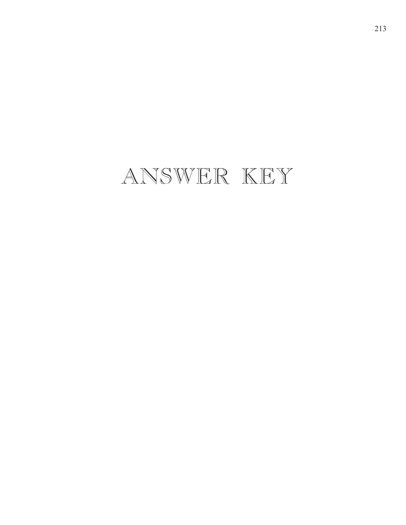## ANSWER KEY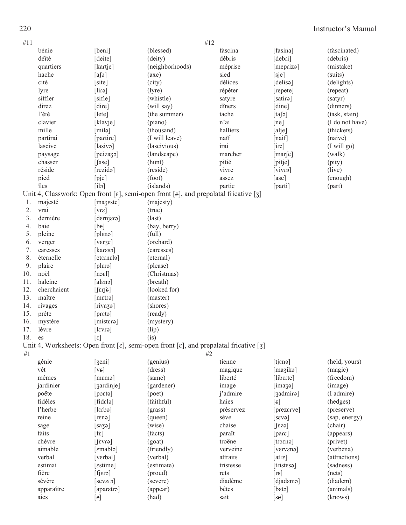| #11    |             |                                               | #12                                                                                                                      |                 |                                  |                       |
|--------|-------------|-----------------------------------------------|--------------------------------------------------------------------------------------------------------------------------|-----------------|----------------------------------|-----------------------|
|        | bénie       | [beni]                                        | (blessed)                                                                                                                | fascina         | [fasina]                         | (fascinated)          |
|        | déïté       | [deite]                                       | (deity)                                                                                                                  | débris          | [debri]                          | (debris)              |
|        | quartiers   | [kartje]                                      | (neighborhoods)                                                                                                          | méprise         | [mepriza]                        | (mistake)             |
|        | hache       | $[a]$ ə]                                      | (axe)                                                                                                                    | sied            | [sje]                            | (suits)               |
|        | cité        | [site]                                        | (city)                                                                                                                   | délices         | [delisə]                         | (delights)            |
|        | lyre        | [dirə]                                        | (lyre)                                                                                                                   | répéter         | [repete]                         | (repeat)              |
|        | siffler     | [sifle]                                       | (whistle)                                                                                                                | satyre          | [satirə]                         | (satyr)               |
|        | direz       | [dire]                                        | (will say)                                                                                                               | dîners          | [dine]                           | (dinners)             |
|        | l'été       | [lete]                                        | (the summer)                                                                                                             | tache           | [ta[5]                           | (task, stain)         |
|        | clavier     | [klavje]                                      | (piano)                                                                                                                  | n'ai            | [ne]                             | (I do not have)       |
|        | mille       | [milə]                                        | (thousand)                                                                                                               | halliers        | [alje]                           | (thickets)            |
|        | partirai    | [partire]                                     | (I will leave)                                                                                                           | naïf            | [naif]                           | (naive)               |
|        | lascive     | [lasivə]                                      | (lascivious)                                                                                                             | irai            | [ire]                            | (I will go)           |
|        | paysage     | [peiza3a]                                     | (landscape)                                                                                                              | marcher         | [marfe]                          | (walk)                |
|        | chasser     | $[$ fase]                                     | (hunt)                                                                                                                   | pitié           | [pitje]                          | (pity)                |
|        | réside      | [rezidə]                                      | (reside)                                                                                                                 | vivre           | [view]                           | (live)                |
|        | pied        | [pje]                                         | (foot)                                                                                                                   | assez           | [ase]                            | (enough)              |
|        | îles        | [i]                                           | (islands)                                                                                                                | partie          | [parti]                          | (part)                |
|        |             |                                               | Unit 4, Classwork: Open front [ $\varepsilon$ ], semi-open front [ $\varepsilon$ ], and prepalatal fricative [ $\zeta$ ] |                 |                                  |                       |
| 1.     | majesté     | [mazeste]                                     | (majesty)                                                                                                                |                 |                                  |                       |
| 2.     | vrai        | $[vr \epsilon]$                               | (true)                                                                                                                   |                 |                                  |                       |
| 3.     | dernière    | [ensimab]                                     | $\text{(last)}$                                                                                                          |                 |                                  |                       |
| 4.     | baie        | [be]                                          | (bay, berry)                                                                                                             |                 |                                  |                       |
| 5.     | pleine      | [plɛnə]                                       | (full)                                                                                                                   |                 |                                  |                       |
| 6.     | verger      | [verge]                                       | (orchard)                                                                                                                |                 |                                  |                       |
| 7.     | caresses    | [karesa]                                      | (caresses)                                                                                                               |                 |                                  |                       |
| 8.     | éternelle   | [eternela]                                    | (eternal)                                                                                                                |                 |                                  |                       |
| 9.     | plaire      | [plɛrə]                                       | (please)                                                                                                                 |                 |                                  |                       |
| 10.    | noël        | [noel]                                        | (Christmas)                                                                                                              |                 |                                  |                       |
| 11.    | haleine     | [alɛnə]                                       | (breath)                                                                                                                 |                 |                                  |                       |
| 12.    | cherchaient | $[$ $\int$ $\epsilon$ r $\int$ $\epsilon$ $]$ | (looked for)                                                                                                             |                 |                                  |                       |
| 13.    | maître      | [metrə]                                       | (master)                                                                                                                 |                 |                                  |                       |
| 14.    | rivages     | [rivazə]                                      | (shores)                                                                                                                 |                 |                                  |                       |
| 15.    | prête       | [pret]                                        | (ready)                                                                                                                  |                 |                                  |                       |
| 16.    | mystère     | [mistera]                                     | (mystery)                                                                                                                |                 |                                  |                       |
| 17.    | lèvre       | [ervs]                                        | (lip)                                                                                                                    |                 |                                  |                       |
| 18. es |             | $\lceil \varepsilon \rceil$                   | (i <sub>s</sub> )                                                                                                        |                 |                                  |                       |
|        |             |                                               | Unit 4, Worksheets: Open front [ $\varepsilon$ ], semi-open front [ $\varepsilon$ ], and prepalatal fricative [3]        |                 |                                  |                       |
| #1     |             |                                               | #2                                                                                                                       |                 |                                  |                       |
|        | génie       | [3en]                                         | (genius)                                                                                                                 | tienne          | [tjɛnə]                          | (held, yours)         |
|        | vêt         | $[v_{\epsilon}]$                              | (dress)                                                                                                                  | magique         | [maʒikə]                         | (magic)               |
|        | mêmes       | $[$ m $\varepsilon$ mə $]$                    | (same)                                                                                                                   | liberté         | [liberte]                        | (freedom)             |
|        | jardinier   | [3ardinje]                                    | (gardener)                                                                                                               | image           | [imag]                           | (image)               |
|        | poëte       | [poɛtə]                                       | (poet)                                                                                                                   | j'admire        | [3admira]                        | (I admire)            |
|        | fidèles     | [file]                                        | (faithful)                                                                                                               | haies           | $[\epsilon]$                     | (hedges)              |
|        | l'herbe     | $[ef^{i}]$                                    | (grass)                                                                                                                  | préservez       | [prezerve]                       | (preserve)            |
|        | reine       | $[$ cn31 $]$                                  | (queen)                                                                                                                  | sève            | $\lceil \text{seva} \rceil$      | (sap, energy)         |
|        | sage        | [sa39]                                        | (wise)                                                                                                                   | chaise          | $[$ $f$ $ez$ $g$ $]$             | (chair)               |
|        | faits       | [fe]                                          | (facts)                                                                                                                  | paraît          | [pare]                           | (appears)             |
|        | chèvre      |                                               | (goat)                                                                                                                   | troëne          |                                  |                       |
|        | aimable     | [61V3]<br>[emablə]                            | (friendly)                                                                                                               | verveine        | $[t$ ro $\epsilon$ na]<br>[versv | (privet)<br>(verbena) |
|        | verbal      | [vɛrbal]                                      | (verbal)                                                                                                                 | attraits        | [after]                          | (attractions)         |
|        | estimai     |                                               | (estimate)                                                                                                               | tristesse       |                                  | (sadness)             |
|        | fière       | [estime]                                      |                                                                                                                          |                 | [tristesa]                       | (nets)                |
|        | sévère      | $[$ fj $\epsilon$ ra $\epsilon$<br>[severa]   | (proud)<br>(severe)                                                                                                      | rets<br>diadème | [13]<br>[djademə]                | (diadem)              |
|        | apparaître  | [aparetro]                                    | (appear)                                                                                                                 | bêtes           | [beta]                           | (animals)             |
|        |             |                                               | (had)                                                                                                                    | sait            |                                  | (knows)               |
|        | aies        | $[\epsilon]$                                  |                                                                                                                          |                 | [se]                             |                       |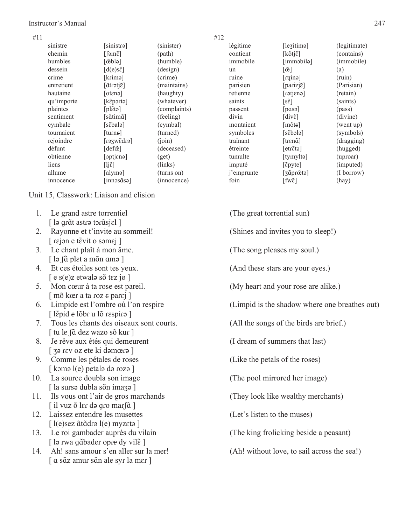#### Instructor's Manual 247

| #11 |            |                                          |              | #12        |                                     |              |
|-----|------------|------------------------------------------|--------------|------------|-------------------------------------|--------------|
|     | sinistre   | [sinistra]                               | (sinister)   | légitime   | [leʒitimə]                          | (legitimate) |
|     | chemin     | [ʃəmɛ̃]                                  | (path)       | contient   | $[k\tilde{o}t]\tilde{\epsilon}$     | (contains)   |
|     | humbles    | $\lceil$ ceblə $\rceil$                  | (humble)     | immobile   | [immɔbilə]                          | (immobile)   |
|     | dessein    | $[d(e)$ s $\tilde{\varepsilon}]$         | (design)     | un         | $\lceil \tilde{\alpha} \rceil$      | (a)          |
|     | crime      | [krimə]                                  | (crime)      | ruine      | [ruinə]                             | (ruin)       |
|     | entretient | [ãtɾətjɛ̃]                               | (maintains)  | parisien   | [parizjɛ̃]                          | (Parisian)   |
|     | hautaine   | [otɛnə]                                  | (haughty)    | retienne   | [casiten]                           | (retain)     |
|     | qu'importe | [kɛ̃pɔɾtə]                               | (whatever)   | saints     | $[s\tilde{\varepsilon}]$            | (saints)     |
|     | plaintes   | $[pl\tilde{\epsilon}$ tə $]$             | (complaints) | passent    | [pasə]                              | (pass)       |
|     | sentiment  | [sãtimã]                                 | (feeling)    | divin      | $\left[div \tilde{\epsilon}\right]$ | (divine)     |
|     | cymbale    | [sɛ̃balə]                                | (cymbal)     | montaient  | $[{\rm m\tilde{o}te}]$              | (went up)    |
|     | tournaient | [turne]                                  | (turned)     | symboles   | $[s\tilde{\epsilon}b$ olə]          | (symbols)    |
|     | rejoindre  | [c1b3wge1]                               | (ioin)       | traînant   | [tɾɛnã]                             | (dragging)   |
|     | défunt     | $\lceil \text{def}\tilde{\alpha} \rceil$ | (deceased)   | étreinte   | [etɾɛ̃tə]                           | (hugged)     |
|     | obtienne   | [optjɛnə]                                | (get)        | tumulte    | [tymyltə]                           | (uproar)     |
|     | liens      | $[1j\tilde{\epsilon}]$                   | (links)      | imputé     | [ɛ̃pyte]                            | (imputed)    |
|     | allume     | [alymə]                                  | (turns on)   | j'emprunte | [ʒɑ̃pɾœ̃tə]                         | (I borrow)   |
|     | innocence  | [innɔsɑ̃sə]                              | (innocence)  | foin       | $[\text{fw}\tilde{\epsilon}]$       | (hay)        |
|     |            |                                          |              |            |                                     |              |

Unit 15, Classwork: Liaison and elision

- 1. Le grand astre torrentiel (The great torrential sun) [ lə grãt astrə tərãsjɛl ]
- 2. Rayonne et t'invite au sommeil! (Shines and invites you to sleep!)  $\lceil$  rejon e tɛ̃vit o somej ]
- 3. Le chant plaît à mon âme. (The song pleases my soul.) [ lə ʃɑ̃ plɛt a mõn ɑmə ]
- $\left[ e \text{ s}(e) \right]$ z etwalə sõ tez jø  $\left[ e \right]$
- $\lceil$  mõ kœr a ta roz  $\varepsilon$  par $\varepsilon$ j  $\lceil$
- $\lceil$  l $\lceil$ i $\rceil$ pid  $\epsilon$  lõbr u lõ respira  $\rceil$
- 7. Tous les chants des oiseaux sont courts. (All the songs of the birds are brief.) [ tu le ʃɑ̃ dez wazo sõ kuɾ ]
- 8. Je rêve aux étés qui demeurent (I dream of summers that last)  $\left[$  3<sup>o</sup> rev oz ete ki domœro  $\left[$
- 9. Comme les pétales de roses (Like the petals of the roses)  $\lceil \text{ komo } l(e) \text{ petal} \rangle$  də rozə  $\lceil$
- 10. La source doubla son image (The pool mirrored her image)  $\lceil$  la sursə dubla sõn imazə  $\lceil$
- 11. Ils vous ont l'air de gros marchands (They look like wealthy merchants) [ il vuz õ l $\epsilon$ r də gro mar $\int$ ã ]
- 12. Laissez entendre les musettes (Let's listen to the muses) [ l(e)sez ãtãdrə l(e) myzɛtə ]
- 13. Le roi gambader auprès du vilain (The king frolicking beside a peasant) [ lə rwa gãbader opre dy vil $\tilde{\epsilon}$  ]
- 14. Ah! sans amour s'en aller sur la mer! (Ah! without love, to sail across the sea!) [ a sãz amur sãn ale syr la mer ]

| i | ۰. |  |
|---|----|--|
|   |    |  |
|   |    |  |

| [enistr                      | (sinister)   | légitime   | [leʒitimə]                                  | (legitimate) |
|------------------------------|--------------|------------|---------------------------------------------|--------------|
| m $\tilde{\epsilon}$ ]       | (path)       | contient   | $[k\tilde{o}tj\tilde{\epsilon}]$            | (contains)   |
| [eld                         | (humble)     | immobile   | [immɔbilə]                                  | (immobile)   |
| $(e)$ s $\tilde{\epsilon}$ ] | (design)     | un         | $\lceil \tilde{\mathfrak{E}} \rceil$        | (a)          |
| imə]                         | (crime)      | ruine      | [right]                                     | (ruin)       |
| [ŝjter                       | (maintains)  | parisien   | [parizjɛ̃]                                  | (Parisian)   |
| [ens                         | (haughty)    | retienne   | [cn3iten]                                   | (retain)     |
| $[$ etncq $\mathbf{\dot{z}}$ | (whatever)   | saints     | $[s\tilde{\epsilon}]$                       | (saints)     |
| ີ້ ເລີ                       | (complaints) | passent    | [pass]                                      | (pass)       |
| itimã]                       | (feeling)    | divin      | $\left[div \tilde{\epsilon}\right]$         | (divine)     |
| bal <sub>a</sub> ]           | (cymbal)     | montaient  | $[m\tilde{o}te]$                            | (went up)    |
| $m\epsilon$                  | (turned)     | symboles   | $[s\tilde{e}b]$                             | (symbols)    |
| [enb3wg                      | (ioin)       | traînant   | [trɛnã]                                     | (dragging)   |
| efœ̃]                        | (deceased)   | étreinte   | $[etr \tilde{\epsilon} t \tilde{\epsilon}]$ | (hugged)     |
| [enajt                       | (get)        | tumulte    | [tymyltə]                                   | (uproar)     |
| š1                           | (links)      | imputé     | [ɛ̃pyte]                                    | (imputed)    |
| ymə]                         | (turns on)   | j'emprunte | [ʒɑ̃pɾœ̃tə]                                 | (I borrow)   |
| nəsãsə]                      | (innocence)  | foin       | $[\text{fw}\tilde{\epsilon}]$               | (hay)        |

- 
- 
- 
- 4. Et ces étoiles sont tes yeux. (And these stars are your eyes.)
- 5. Mon cœur à ta rose est pareil. (My heart and your rose are alike.)
- 6. Limpide est l'ombre où l'on respire (Limpid is the shadow where one breathes out)
	-
	-
	-
	-
	-
	-
	-
	-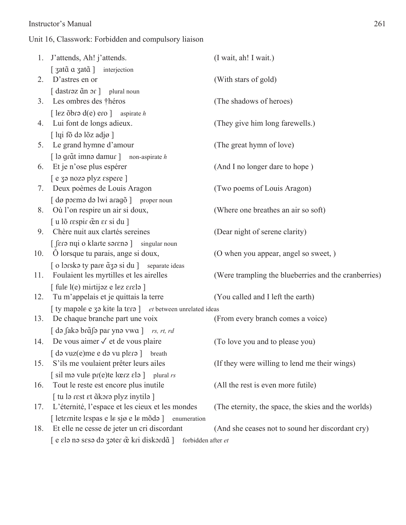#### Instructor's Manual 261

### Unit 16, Classwork: Forbidden and compulsory liaison

|     | 1. J'attends, Ah! j'attends.                                                                   | (I wait, ah! I wait.)                                |
|-----|------------------------------------------------------------------------------------------------|------------------------------------------------------|
|     | [ 3atã a 3atã ] interjection                                                                   |                                                      |
| 2.  | D'astres en or                                                                                 | (With stars of gold)                                 |
|     | $\lceil$ dastrəz $\tilde{a}$ n ər $\lceil$<br>plural noun                                      |                                                      |
| 3.  | Les ombres des théros                                                                          | (The shadows of heroes)                              |
|     | [ lez õbrə d(e) ero ] aspirate h                                                               |                                                      |
| 4.  | Lui font de longs adieux.                                                                      | (They give him long farewells.)                      |
|     | [ lui fõ də lõz adjø]                                                                          |                                                      |
| 5.  | Le grand hymne d'amour                                                                         | (The great hymn of love)                             |
|     | [ lə gr $\tilde{a}$ t imnə damur ] non-aspirate h                                              |                                                      |
| 6.  | Et je n'ose plus espérer                                                                       | (And I no longer dare to hope)                       |
|     | $[$ e za noza plyz espere $]$                                                                  |                                                      |
| 7.  | Deux poèmes de Louis Aragon                                                                    | (Two poems of Louis Aragon)                          |
|     | [ dø poemo do lwi aragõ ] proper noun                                                          |                                                      |
| 8.  | Où l'on respire un air si doux,                                                                | (Where one breathes an air so soft)                  |
|     | $\lceil u \rceil$ a respir cen $\epsilon$ r si du $\lceil$                                     |                                                      |
| 9.  | Chère nuit aux clartés sereines                                                                | (Dear night of serene clarity)                       |
|     | [ fer apply o klarte sore now singular noun                                                    |                                                      |
| 10. | O lorsque tu parais, ange si doux,                                                             | (O when you appear, angel so sweet, )                |
|     | [o lorska ty pare $\tilde{a}$ za si du ] separate ideas                                        |                                                      |
| 11. | Foulaient les myrtilles et les airelles                                                        | (Were trampling the blueberries and the cranberries) |
|     | [ fule l(e) mirtijaz e lez erela ]                                                             |                                                      |
| 12. | Tu m'appelais et je quittais la terre                                                          | (You called and I left the earth)                    |
|     | [ ty mapale e 30 kite la tera ] et between unrelated ideas                                     |                                                      |
| 13. | De chaque branche part une voix                                                                | (From every branch comes a voice)                    |
|     | [ də fakə brɑ̃fə par ynə vwa ] rs, rt, rd                                                      |                                                      |
|     | 14. De vous aimer $\checkmark$ et de vous plaire                                               | (To love you and to please you)                      |
|     | $\lceil$ də vuz $(e)$ me e də vu pl $\epsilon$ rə $\lceil$ breath                              |                                                      |
| 15. | S'ils me voulaient prêter leurs ailes                                                          | (If they were willing to lend me their wings)        |
|     | $\lceil \sin \theta \rceil$ sil ma vule pr(e)te lœrz ela $\lceil \sin \theta \rceil$ plural rs |                                                      |
| 16. | Tout le reste est encore plus inutile                                                          | (All the rest is even more futile)                   |
|     | [ tu lə rest et ãkorə plyz inytilə ]                                                           |                                                      |
| 17. | L'éternité, l'espace et les cieux et les mondes                                                | (The eternity, the space, the skies and the worlds)  |
|     | [ leternite lespas e le sjø e le mõda ]<br>enumeration                                         |                                                      |
| 18. | Et elle ne cesse de jeter un cri discordant                                                    | (And she ceases not to sound her discordant cry)     |
|     | [e elə nə sesə də zəter $\tilde{e}$ kri diskərdã ]<br>forbidden after et                       |                                                      |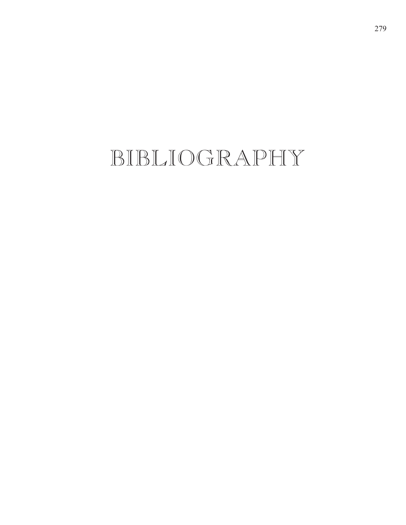## BIBLIOGRAPHY